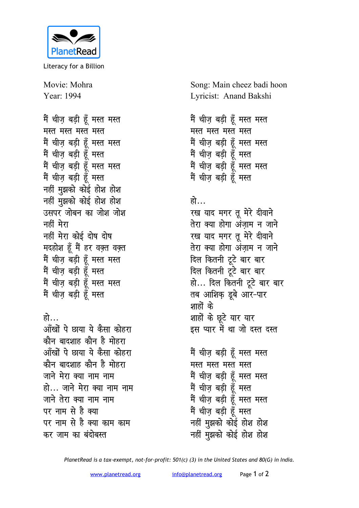

Literacy for a Billion

Movie: Mohra Year: 1994

मैं चीज़ बड़ी हूँ मस्त मस्त **मस्त** मस्त मस्त <u>मैं चीज बडी हँ मस्त मस्त</u> <u>मैं चीज बड़ी हूँ मस्त</u> मैं चीज़ बड़ी हूँ मस्त मस्त मैं चीज़ बड़ी हूँ मस्त **नहीं मुझको कोई होश होश** <u>नहीं मु</u>झको कोई होश होश <u>उसपर जोबन का जोश जोश</u> नहीं मेरा **नहीं मेरा कोई दोष दोष मदहोश हूँ मैं हर वक़्त वक़्त** मैं चीज़ बड़ी हूँ मस्त मस्त मैं चीज़ बड़ी हूँ मस्त मैं चीज़ बड़ी हूँ मस्त मस्त मैं चीज़ बड़ी हूँ मस्त

## **हो**

<u>आँखों पे छाया ये कैसा कोहरा</u> <u>कौन बादशाह कौन है मोहरा</u> <u>आँखों पे छाया ये कैसा कोहरा</u> <u>कौन बादशाह कौन है मोहरा</u> जाने मेरा क्या नाम नाम हो... जाने मेरा क्या नाम नाम जाने तेरा क्या नाम नाम पर नाम से है क्या पर नाम से है क्या काम काम कर जाम का बंदोबस्त

Song: Main cheez badi hoon Lyricist: Anand Bakshi

```
मैं चीज़ बड़ी हूँ मस्त मस्त
मस्त मस्त मस्त मस्त
मैं चीज बडी हँ मस्त मस्त
<u>मैं चीज बड़ी हूँ मस्त</u>
मैं चीज़ बड़ी हूँ मस्त मस्त
मैं चीज़ बड़ी हूँ मस्त
```
## हो…

रख याद मगर तू मेरे दीवाने तेरा क्या होगा अंज़ाम न जाने रख याद मगर तू मेरे दीवाने <u>तेरा क्या होगा अंजाम न जाने</u> दिल कितनी टूटे बार बार <u>दिल कितनी ट</u>ूटे बार बार हो... दिल कितनी टूटे बार बार तब आशिक डूबे आर-पार शाहों के शाहों के छूटे यार यार इस प्यार में था जो दस्त दस्त

मैं चीज़ बड़ी हूँ मस्त मस्त मस्त मस्त मस्त <del>म</del>स्त <u>मैं चीज़ बड़ी हूँ मस्त मस्त</u> मैं चीज़ बड़ी हूँ मस्त <u>मैं चीज बड़ी ह</u>ँ मस्त मस्त <u>मैं चीज़ बड़ी हूँ मस्त</u> नहीं मुझको कोई होश होश <u>नहीं म</u>ुझको कोई होश होश

*PlanetRead is a tax-exempt, not-for-profit: 501(c) (3) in the United States and 80(G) in India.*